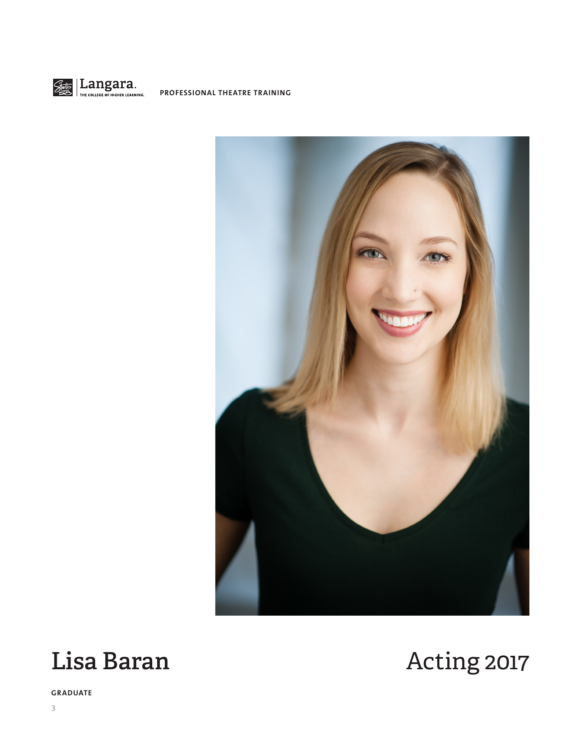





**GRADUATE**